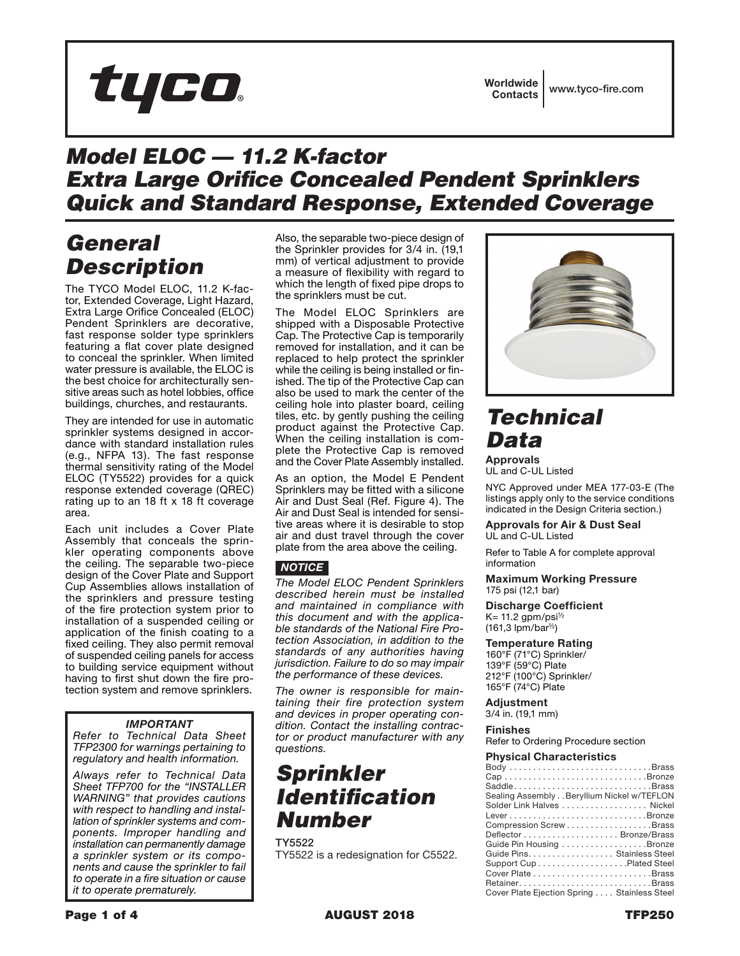

### *Model ELOC — 11.2 K-factor Extra Large Orifice Concealed Pendent Sprinklers Quick and Standard Response, Extended Coverage*

## *General Description*

The TYCO Model ELOC, 11.2 K-factor, Extended Coverage, Light Hazard, Extra Large Orifice Concealed (ELOC) Pendent Sprinklers are decorative, fast response solder type sprinklers featuring a flat cover plate designed to conceal the sprinkler. When limited water pressure is available, the ELOC is the best choice for architecturally sensitive areas such as hotel lobbies, office buildings, churches, and restaurants.

They are intended for use in automatic sprinkler systems designed in accordance with standard installation rules (e.g., NFPA 13). The fast response thermal sensitivity rating of the Model ELOC (TY5522) provides for a quick response extended coverage (QREC) rating up to an 18 ft x 18 ft coverage area.

Each unit includes a Cover Plate Assembly that conceals the sprinkler operating components above the ceiling. The separable two-piece design of the Cover Plate and Support Cup Assemblies allows installation of the sprinklers and pressure testing of the fire protection system prior to installation of a suspended ceiling or application of the finish coating to a fixed ceiling. They also permit removal of suspended ceiling panels for access to building service equipment without having to first shut down the fire protection system and remove sprinklers.

### *IMPORTANT*

*Refer to Technical Data Sheet TFP2300 for warnings pertaining to regulatory and health information.*

*Always refer to Technical Data Sheet TFP700 for the "INSTALLER WARNING" that provides cautions with respect to handling and installation of sprinkler systems and components. Improper handling and installation can permanently damage a sprinkler system or its components and cause the sprinkler to fail to operate in a fire situation or cause it to operate prematurely.*

Also, the separable two-piece design of the Sprinkler provides for 3/4 in. (19,1 mm) of vertical adjustment to provide a measure of flexibility with regard to which the length of fixed pipe drops to the sprinklers must be cut.

The Model ELOC Sprinklers are shipped with a Disposable Protective Cap. The Protective Cap is temporarily removed for installation, and it can be replaced to help protect the sprinkler while the ceiling is being installed or finished. The tip of the Protective Cap can also be used to mark the center of the ceiling hole into plaster board, ceiling tiles, etc. by gently pushing the ceiling product against the Protective Cap. When the ceiling installation is complete the Protective Cap is removed and the Cover Plate Assembly installed.

As an option, the Model E Pendent Sprinklers may be fitted with a silicone Air and Dust Seal (Ref. Figure 4). The Air and Dust Seal is intended for sensitive areas where it is desirable to stop air and dust travel through the cover plate from the area above the ceiling.

### *NOTICE*

*The Model ELOC Pendent Sprinklers described herein must be installed and maintained in compliance with this document and with the applicable standards of the National Fire Protection Association, in addition to the standards of any authorities having jurisdiction. Failure to do so may impair the performance of these devices.*

*The owner is responsible for maintaining their fire protection system and devices in proper operating condition. Contact the installing contractor or product manufacturer with any questions.*

## *Sprinkler Identification Number*

TY5522 TY5522 is a redesignation for C5522.



### *Technical Data*

**Approvals** UL and C-UL Listed

NYC Approved under MEA 177-03-E (The listings apply only to the service conditions indicated in the Design Criteria section.)

**Approvals for Air & Dust Seal** UL and C-UL Listed

Refer to Table A for complete approval information

**Maximum Working Pressure** 175 psi (12,1 bar)

**Discharge Coefficient** K= 11.2 gpm/psi $\frac{1}{2}$  $(161.3$  lpm/bar<sup> $1/2$ </sup>)

### **Temperature Rating**

160°F (71°C) Sprinkler/ 139°F (59°C) Plate 212°F (100°C) Sprinkler/ 165°F (74°C) Plate

### **Adjustment**

3/4 in. (19,1 mm)

**Finishes**

Refer to Ordering Procedure section

### **Physical Characteristics**

| SaddleBrass                                 |
|---------------------------------------------|
| Sealing Assembly Beryllium Nickel w/TEFLON  |
| Solder Link Halves  Nickel                  |
|                                             |
| Compression ScrewBrass                      |
|                                             |
| Guide Pin Housing Bronze                    |
| Guide Pins. Stainless Steel                 |
|                                             |
|                                             |
|                                             |
| Cover Plate Ejection Spring Stainless Steel |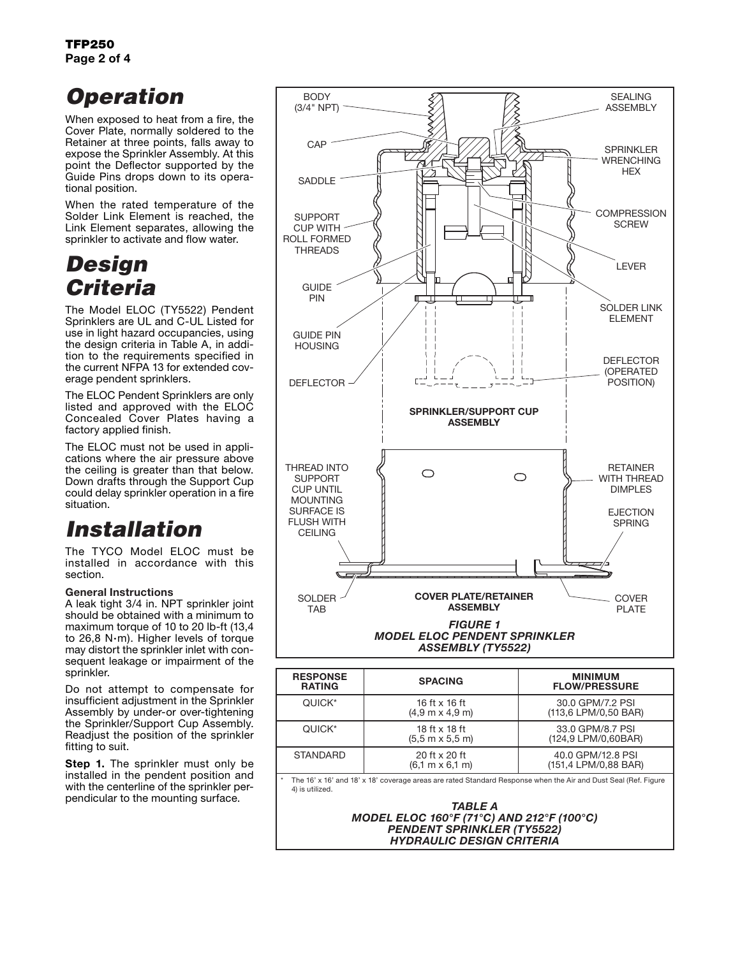# *Operation*

When exposed to heat from a fire, the Cover Plate, normally soldered to the Retainer at three points, falls away to expose the Sprinkler Assembly. At this point the Deflector supported by the Guide Pins drops down to its operational position.

When the rated temperature of the Solder Link Element is reached, the Link Element separates, allowing the sprinkler to activate and flow water.

## *Design Criteria*

The Model ELOC (TY5522) Pendent Sprinklers are UL and C-UL Listed for use in light hazard occupancies, using the design criteria in Table A, in addition to the requirements specified in the current NFPA 13 for extended coverage pendent sprinklers.

The ELOC Pendent Sprinklers are only listed and approved with the ELOC Concealed Cover Plates having a factory applied finish.

The ELOC must not be used in applications where the air pressure above the ceiling is greater than that below. Down drafts through the Support Cup could delay sprinkler operation in a fire situation.

# *Installation*

The TYCO Model ELOC must be installed in accordance with this section.

### General Instructions

A leak tight 3/4 in. NPT sprinkler joint should be obtained with a minimum to maximum torque of 10 to 20 lb-ft (13,4 to 26,8 N·m). Higher levels of torque may distort the sprinkler inlet with consequent leakage or impairment of the sprinkler.

Do not attempt to compensate for insufficient adjustment in the Sprinkler Assembly by under-or over-tightening the Sprinkler/Support Cup Assembly. Readjust the position of the sprinkler fitting to suit.

**Step 1.** The sprinkler must only be installed in the pendent position and with the centerline of the sprinkler perpendicular to the mounting surface.



| <b>RESPONSE</b><br><b>RATING</b> | <b>SPACING</b>                                                 | <b>MINIMUM</b><br><b>FLOW/PRESSURE</b>    |
|----------------------------------|----------------------------------------------------------------|-------------------------------------------|
| QUICK*                           | 16 ft $\times$ 16 ft<br>$(4.9 \text{ m} \times 4.9 \text{ m})$ | 30.0 GPM/7.2 PSI<br>(113,6 LPM/0,50 BAR)  |
| QUICK*                           | 18 ft x 18 ft<br>$(5.5 m \times 5.5 m)$                        | 33.0 GPM/8.7 PSI<br>(124,9 LPM/0,60BAR)   |
| <b>STANDARD</b>                  | 20 ft x 20 ft<br>$(6.1 \text{ m} \times 6.1 \text{ m})$        | 40.0 GPM/12.8 PSI<br>(151,4 LPM/0,88 BAR) |
|                                  |                                                                | .                                         |

The 16' x 16' and 18' x 18' coverage areas are rated Standard Response when the Air and Dust Seal (Ref. Figure 4) is utilized.

> *TABLE A MODEL ELOC 160°F (71°C) AND 212°F (100°C) PENDENT SPRINKLER (TY5522) HYDRAULIC DESIGN CRITERIA*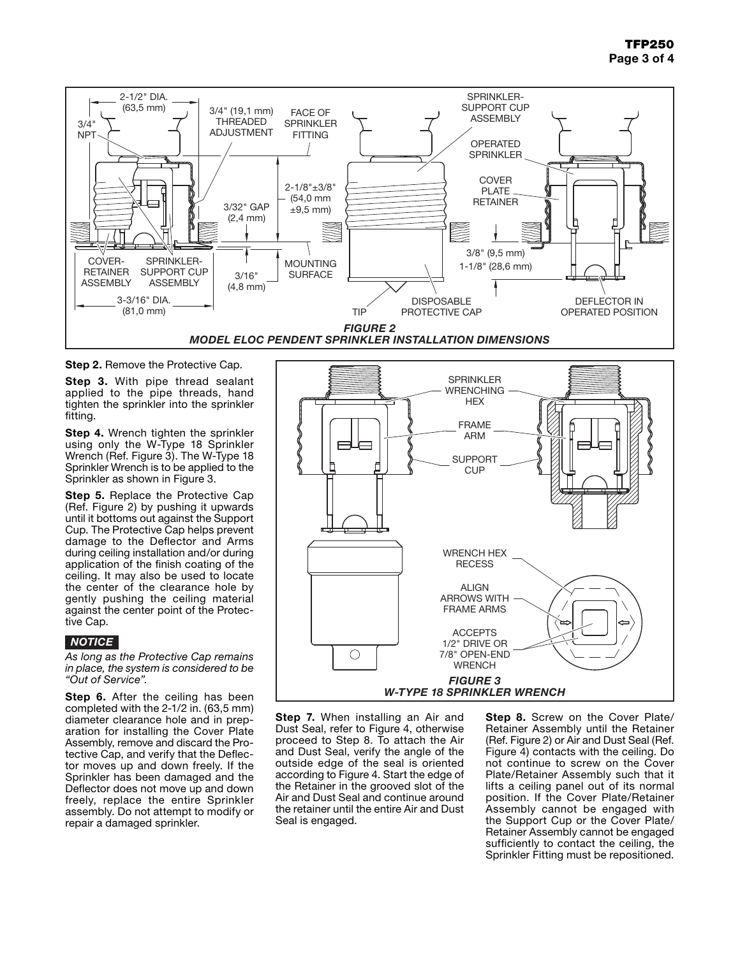

**Step 2.** Remove the Protective Cap.

**Step 3.** With pipe thread sealant applied to the pipe threads, hand tighten the sprinkler into the sprinkler fitting.

**Step 4.** Wrench tighten the sprinkler using only the W-Type 18 Sprinkler Wrench (Ref. Figure 3). The W-Type 18 Sprinkler Wrench is to be applied to the Sprinkler as shown in Figure 3.

**Step 5.** Replace the Protective Cap (Ref. Figure 2) by pushing it upwards until it bottoms out against the Support Cup. The Protective Cap helps prevent damage to the Deflector and Arms during ceiling installation and/or during application of the finish coating of the ceiling. It may also be used to locate the center of the clearance hole by gently pushing the ceiling material against the center point of the Protective Cap.

### *NOTICE*

*As long as the Protective Cap remains in place, the system is considered to be "Out of Service".*

**Step 6.** After the ceiling has been completed with the 2-1/2 in. (63,5 mm) diameter clearance hole and in preparation for installing the Cover Plate Assembly, remove and discard the Protective Cap, and verify that the Deflector moves up and down freely. If the Sprinkler has been damaged and the Deflector does not move up and down freely, replace the entire Sprinkler assembly. Do not attempt to modify or repair a damaged sprinkler.



**Step 7.** When installing an Air and Dust Seal, refer to Figure 4, otherwise proceed to Step 8. To attach the Air and Dust Seal, verify the angle of the outside edge of the seal is oriented according to Figure 4. Start the edge of the Retainer in the grooved slot of the Air and Dust Seal and continue around the retainer until the entire Air and Dust Seal is engaged.

**Step 8.** Screw on the Cover Plate/ Retainer Assembly until the Retainer (Ref. Figure 2) or Air and Dust Seal (Ref. Figure 4) contacts with the ceiling. Do not continue to screw on the Cover Plate/Retainer Assembly such that it lifts a ceiling panel out of its normal position. If the Cover Plate/Retainer Assembly cannot be engaged with the Support Cup or the Cover Plate/ Retainer Assembly cannot be engaged sufficiently to contact the ceiling, the Sprinkler Fitting must be repositioned.